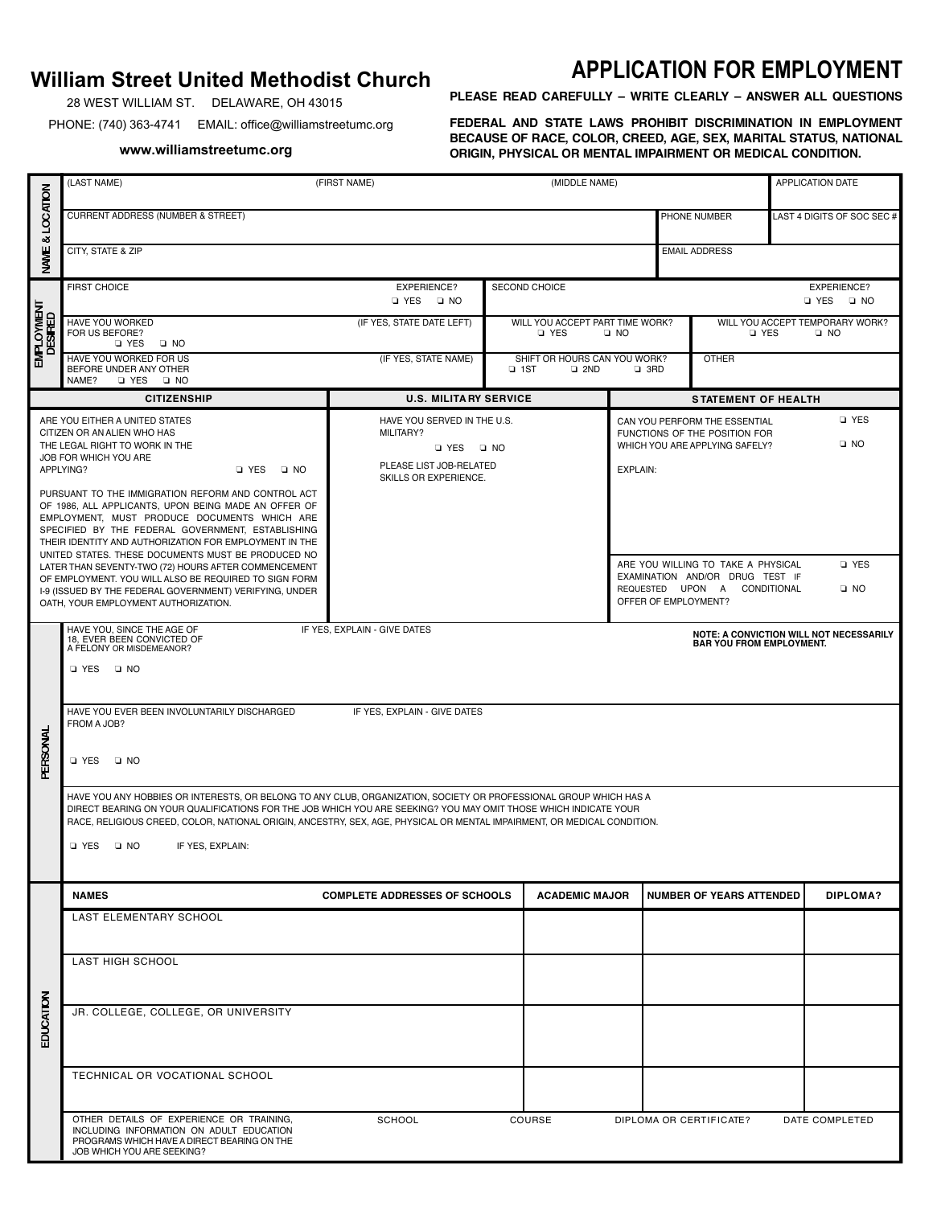## **William Street United Methodist Church**

28 WEST WILLIAM ST. DELAWARE, OH 43015

PHONE: (740) 363-4741 EMAIL: office@williamstreetumc.org

**www.williamstreetumc.org**

## **APPLICATION FOR EMPLOYMENT**

**PLEASE READ CAREFULLY – WRITE CLEARLY – ANSWER ALL QUESTIONS** 

FEDERAL AND STATE LAWS PROHIBIT DISCRIMINATION IN EMPLOYMENT **BECAUSE OF RACE, COLOR, CREED, AGE, SEX, MARITAL STATUS, NATIONAL ORIGIN, PHYSICAL OR MENTAL IMPAIRMENT OR MEDICAL CONDITION.** 

|                       | (LAST NAME)                                                                                                                                                                                                                                                                                                                                                                                                                                                                                                                                         | (FIRST NAME)                                                                                                         | (MIDDLE NAME)                                                  |                                                                                                                                                     | APPLICATION DATE                                                                                      |                    |  |  |  |
|-----------------------|-----------------------------------------------------------------------------------------------------------------------------------------------------------------------------------------------------------------------------------------------------------------------------------------------------------------------------------------------------------------------------------------------------------------------------------------------------------------------------------------------------------------------------------------------------|----------------------------------------------------------------------------------------------------------------------|----------------------------------------------------------------|-----------------------------------------------------------------------------------------------------------------------------------------------------|-------------------------------------------------------------------------------------------------------|--------------------|--|--|--|
| NAME & LOCATION       | CURRENT ADDRESS (NUMBER & STREET)                                                                                                                                                                                                                                                                                                                                                                                                                                                                                                                   |                                                                                                                      |                                                                | PHONE NUMBER                                                                                                                                        | LAST 4 DIGITS OF SOC SEC #                                                                            |                    |  |  |  |
|                       | CITY, STATE & ZIP<br><b>EMAIL ADDRESS</b>                                                                                                                                                                                                                                                                                                                                                                                                                                                                                                           |                                                                                                                      |                                                                |                                                                                                                                                     |                                                                                                       |                    |  |  |  |
| employment<br>Desired | <b>FIRST CHOICE</b>                                                                                                                                                                                                                                                                                                                                                                                                                                                                                                                                 | <b>SECOND CHOICE</b>                                                                                                 | <b>EXPERIENCE?</b><br><b>D</b> YES<br>$\square$ NO             |                                                                                                                                                     |                                                                                                       |                    |  |  |  |
|                       | HAVE YOU WORKED<br>FOR US BEFORE?<br>O YES O NO                                                                                                                                                                                                                                                                                                                                                                                                                                                                                                     | (IF YES, STATE DATE LEFT)                                                                                            | WILL YOU ACCEPT PART TIME WORK?<br><b>D</b> YES                | $\Box$ NO                                                                                                                                           | WILL YOU ACCEPT TEMPORARY WORK?<br><b>D</b> YES<br>$\Box$ NO                                          |                    |  |  |  |
|                       | HAVE YOU WORKED FOR US<br>BEFORE UNDER ANY OTHER<br>NAME?<br>D YES D NO                                                                                                                                                                                                                                                                                                                                                                                                                                                                             | (IF YES, STATE NAME)                                                                                                 | SHIFT OR HOURS CAN YOU WORK?<br>$\square$ 1ST<br>$\square$ 2ND | $\Box$ 3RD                                                                                                                                          | <b>OTHER</b>                                                                                          |                    |  |  |  |
|                       | <b>CITIZENSHIP</b>                                                                                                                                                                                                                                                                                                                                                                                                                                                                                                                                  | <b>U.S. MILITA RY SERVICE</b>                                                                                        |                                                                | <b>STATEMENT OF HEALTH</b>                                                                                                                          |                                                                                                       |                    |  |  |  |
|                       | ARE YOU EITHER A UNITED STATES<br>CITIZEN OR AN ALIEN WHO HAS<br>THE LEGAL RIGHT TO WORK IN THE<br>JOB FOR WHICH YOU ARE<br>APPLYING?<br>D YES D NO                                                                                                                                                                                                                                                                                                                                                                                                 | HAVE YOU SERVED IN THE U.S.<br>MILITARY?<br>$\Box$ YES $\Box$ NO<br>PLEASE LIST JOB-RELATED<br>SKILLS OR EXPERIENCE. |                                                                | <b>D</b> YES<br>CAN YOU PERFORM THE ESSENTIAL<br>FUNCTIONS OF THE POSITION FOR<br>$\square$ NO<br>WHICH YOU ARE APPLYING SAFELY?<br><b>EXPLAIN:</b> |                                                                                                       |                    |  |  |  |
|                       | PURSUANT TO THE IMMIGRATION REFORM AND CONTROL ACT<br>OF 1986, ALL APPLICANTS, UPON BEING MADE AN OFFER OF<br>EMPLOYMENT, MUST PRODUCE DOCUMENTS WHICH ARE<br>SPECIFIED BY THE FEDERAL GOVERNMENT, ESTABLISHING<br>THEIR IDENTITY AND AUTHORIZATION FOR EMPLOYMENT IN THE<br>UNITED STATES. THESE DOCUMENTS MUST BE PRODUCED NO<br>LATER THAN SEVENTY-TWO (72) HOURS AFTER COMMENCEMENT<br>OF EMPLOYMENT. YOU WILL ALSO BE REQUIRED TO SIGN FORM<br>1-9 (ISSUED BY THE FEDERAL GOVERNMENT) VERIFYING, UNDER<br>OATH, YOUR EMPLOYMENT AUTHORIZATION. |                                                                                                                      |                                                                | OFFER OF EMPLOYMENT?                                                                                                                                | ARE YOU WILLING TO TAKE A PHYSICAL<br>EXAMINATION AND/OR DRUG TEST IF<br>REQUESTED UPON A CONDITIONAL | □ YES<br>$\Box$ NO |  |  |  |
|                       | HAVE YOU, SINCE THE AGE OF<br>IF YES, EXPLAIN - GIVE DATES<br>NOTE: A CONVICTION WILL NOT NECESSARILY<br>18, EVER BEEN CONVICTED OF<br><b>BAR YOU FROM EMPLOYMENT.</b><br>A FELONY OR MISDEMEANOR?<br>I YES ⊡ NO<br>HAVE YOU EVER BEEN INVOLUNTARILY DISCHARGED<br>IF YES, EXPLAIN - GIVE DATES<br>FROM A JOB?                                                                                                                                                                                                                                      |                                                                                                                      |                                                                |                                                                                                                                                     |                                                                                                       |                    |  |  |  |
| PERSONAL              | □ YES<br>$\Box$ NO                                                                                                                                                                                                                                                                                                                                                                                                                                                                                                                                  |                                                                                                                      |                                                                |                                                                                                                                                     |                                                                                                       |                    |  |  |  |
|                       | HAVE YOU ANY HOBBIES OR INTERESTS, OR BELONG TO ANY CLUB, ORGANIZATION, SOCIETY OR PROFESSIONAL GROUP WHICH HAS A<br>DIRECT BEARING ON YOUR QUALIFICATIONS FOR THE JOB WHICH YOU ARE SEEKING? YOU MAY OMIT THOSE WHICH INDICATE YOUR<br>RACE, RELIGIOUS CREED, COLOR, NATIONAL ORIGIN, ANCESTRY, SEX, AGE, PHYSICAL OR MENTAL IMPAIRMENT, OR MEDICAL CONDITION.<br>□ YES □ NO<br>IF YES, EXPLAIN:                                                                                                                                                   |                                                                                                                      |                                                                |                                                                                                                                                     |                                                                                                       |                    |  |  |  |
|                       |                                                                                                                                                                                                                                                                                                                                                                                                                                                                                                                                                     |                                                                                                                      |                                                                |                                                                                                                                                     |                                                                                                       |                    |  |  |  |
|                       | <b>NAMES</b>                                                                                                                                                                                                                                                                                                                                                                                                                                                                                                                                        | <b>COMPLETE ADDRESSES OF SCHOOLS</b>                                                                                 | <b>ACADEMIC MAJOR</b>                                          |                                                                                                                                                     | <b>NUMBER OF YEARS ATTENDED</b>                                                                       | DIPLOMA?           |  |  |  |
|                       | LAST ELEMENTARY SCHOOL                                                                                                                                                                                                                                                                                                                                                                                                                                                                                                                              |                                                                                                                      |                                                                |                                                                                                                                                     |                                                                                                       |                    |  |  |  |
| EDUCATION             | <b>LAST HIGH SCHOOL</b>                                                                                                                                                                                                                                                                                                                                                                                                                                                                                                                             |                                                                                                                      |                                                                |                                                                                                                                                     |                                                                                                       |                    |  |  |  |
|                       | JR. COLLEGE, COLLEGE, OR UNIVERSITY                                                                                                                                                                                                                                                                                                                                                                                                                                                                                                                 |                                                                                                                      |                                                                |                                                                                                                                                     |                                                                                                       |                    |  |  |  |
|                       | TECHNICAL OR VOCATIONAL SCHOOL                                                                                                                                                                                                                                                                                                                                                                                                                                                                                                                      |                                                                                                                      |                                                                |                                                                                                                                                     |                                                                                                       |                    |  |  |  |
|                       | OTHER DETAILS OF EXPERIENCE OR TRAINING,<br>INCLUDING INFORMATION ON ADULT EDUCATION<br>PROGRAMS WHICH HAVE A DIRECT BEARING ON THE<br>JOB WHICH YOU ARE SEEKING?                                                                                                                                                                                                                                                                                                                                                                                   | SCHOOL                                                                                                               | COURSE                                                         | DIPLOMA OR CERTIFICATE?                                                                                                                             |                                                                                                       | DATE COMPLETED     |  |  |  |